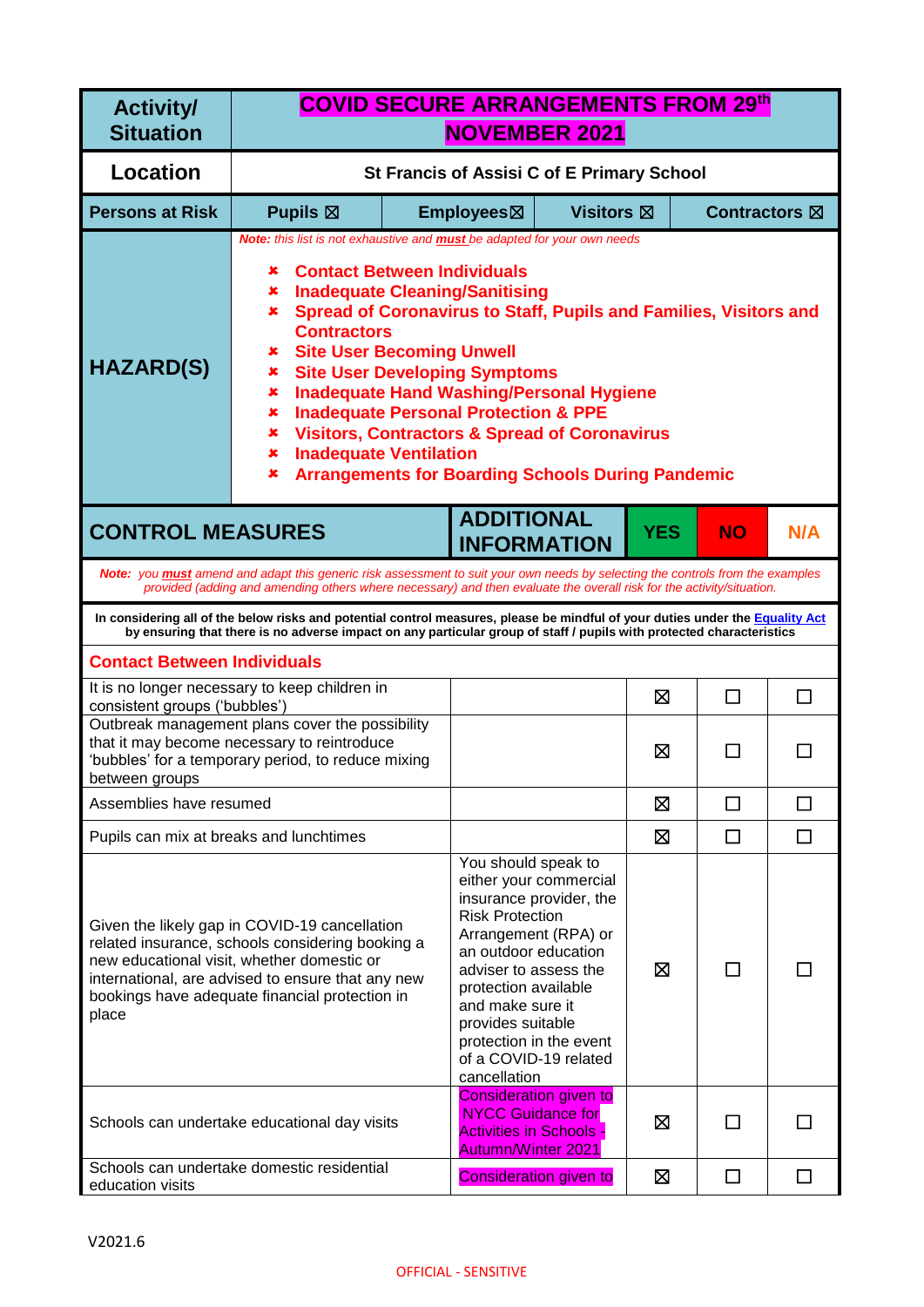| <b>Activity/</b><br><b>Situation</b>                                                                                                                                                                                                                            | <b>COVID SECURE ARRANGEMENTS FROM 29th</b><br><b>NOVEMBER 2021</b>                                                                                                                                                                                                                                                                                                                                                                                                                                                                                                                                                                                     |                                                                                                                                                                                 |                                                                                                                               |                               |            |           |     |
|-----------------------------------------------------------------------------------------------------------------------------------------------------------------------------------------------------------------------------------------------------------------|--------------------------------------------------------------------------------------------------------------------------------------------------------------------------------------------------------------------------------------------------------------------------------------------------------------------------------------------------------------------------------------------------------------------------------------------------------------------------------------------------------------------------------------------------------------------------------------------------------------------------------------------------------|---------------------------------------------------------------------------------------------------------------------------------------------------------------------------------|-------------------------------------------------------------------------------------------------------------------------------|-------------------------------|------------|-----------|-----|
| <b>Location</b>                                                                                                                                                                                                                                                 | St Francis of Assisi C of E Primary School                                                                                                                                                                                                                                                                                                                                                                                                                                                                                                                                                                                                             |                                                                                                                                                                                 |                                                                                                                               |                               |            |           |     |
| <b>Persons at Risk</b>                                                                                                                                                                                                                                          | Pupils $\boxtimes$                                                                                                                                                                                                                                                                                                                                                                                                                                                                                                                                                                                                                                     | Employees⊠<br><b>Visitors</b> ⊠<br>Contractors $\boxtimes$                                                                                                                      |                                                                                                                               |                               |            |           |     |
| <b>HAZARD(S)</b>                                                                                                                                                                                                                                                | Note: this list is not exhaustive and <b>must</b> be adapted for your own needs<br><b>Contact Between Individuals</b><br>×<br><b>Inadequate Cleaning/Sanitising</b><br>×<br>Spread of Coronavirus to Staff, Pupils and Families, Visitors and<br>×<br><b>Contractors</b><br><b>Site User Becoming Unwell</b><br>×<br><b>Site User Developing Symptoms</b><br>×<br><b>Inadequate Hand Washing/Personal Hygiene</b><br>×<br><b>Inadequate Personal Protection &amp; PPE</b><br>×<br><b>Visitors, Contractors &amp; Spread of Coronavirus</b><br>×<br><b>Inadequate Ventilation</b><br>×<br><b>Arrangements for Boarding Schools During Pandemic</b><br>× |                                                                                                                                                                                 |                                                                                                                               |                               |            |           |     |
| <b>CONTROL MEASURES</b>                                                                                                                                                                                                                                         |                                                                                                                                                                                                                                                                                                                                                                                                                                                                                                                                                                                                                                                        |                                                                                                                                                                                 | <b>ADDITIONAL</b>                                                                                                             | <b>INFORMATION</b>            | <b>YES</b> | <b>NO</b> | N/A |
|                                                                                                                                                                                                                                                                 | Note: you <b>must</b> amend and adapt this generic risk assessment to suit your own needs by selecting the controls from the examples<br>provided (adding and amending others where necessary) and then evaluate the overall risk for the activity/situation.                                                                                                                                                                                                                                                                                                                                                                                          |                                                                                                                                                                                 |                                                                                                                               |                               |            |           |     |
|                                                                                                                                                                                                                                                                 | In considering all of the below risks and potential control measures, please be mindful of your duties under the Equality Act<br>by ensuring that there is no adverse impact on any particular group of staff / pupils with protected characteristics                                                                                                                                                                                                                                                                                                                                                                                                  |                                                                                                                                                                                 |                                                                                                                               |                               |            |           |     |
| <b>Contact Between Individuals</b>                                                                                                                                                                                                                              |                                                                                                                                                                                                                                                                                                                                                                                                                                                                                                                                                                                                                                                        |                                                                                                                                                                                 |                                                                                                                               |                               |            |           |     |
| consistent groups ('bubbles')                                                                                                                                                                                                                                   | It is no longer necessary to keep children in                                                                                                                                                                                                                                                                                                                                                                                                                                                                                                                                                                                                          |                                                                                                                                                                                 |                                                                                                                               |                               | ⊠          | П         | П   |
| between groups                                                                                                                                                                                                                                                  | Outbreak management plans cover the possibility<br>that it may become necessary to reintroduce<br>'bubbles' for a temporary period, to reduce mixing                                                                                                                                                                                                                                                                                                                                                                                                                                                                                                   |                                                                                                                                                                                 |                                                                                                                               |                               | ⊠          |           |     |
| Assemblies have resumed                                                                                                                                                                                                                                         |                                                                                                                                                                                                                                                                                                                                                                                                                                                                                                                                                                                                                                                        |                                                                                                                                                                                 |                                                                                                                               |                               | ⊠          | П         |     |
| Pupils can mix at breaks and lunchtimes                                                                                                                                                                                                                         |                                                                                                                                                                                                                                                                                                                                                                                                                                                                                                                                                                                                                                                        |                                                                                                                                                                                 |                                                                                                                               |                               | ⊠          | П         | ΙI  |
| Given the likely gap in COVID-19 cancellation<br>related insurance, schools considering booking a<br>new educational visit, whether domestic or<br>international, are advised to ensure that any new<br>bookings have adequate financial protection in<br>place |                                                                                                                                                                                                                                                                                                                                                                                                                                                                                                                                                                                                                                                        | You should speak to<br><b>Risk Protection</b><br>an outdoor education<br>adviser to assess the<br>protection available<br>and make sure it<br>provides suitable<br>cancellation | either your commercial<br>insurance provider, the<br>Arrangement (RPA) or<br>protection in the event<br>of a COVID-19 related | ⊠                             | ΙI         |           |     |
| Schools can undertake educational day visits                                                                                                                                                                                                                    |                                                                                                                                                                                                                                                                                                                                                                                                                                                                                                                                                                                                                                                        |                                                                                                                                                                                 | <b>NYCC Guidance for</b><br><b>Activities in Schools</b><br><b>Autumn/Winter 2021</b>                                         | <b>Consideration given to</b> | ⊠          |           |     |
| education visits                                                                                                                                                                                                                                                | Schools can undertake domestic residential                                                                                                                                                                                                                                                                                                                                                                                                                                                                                                                                                                                                             |                                                                                                                                                                                 |                                                                                                                               | <b>Consideration given to</b> | ⊠          | $\Box$    | П   |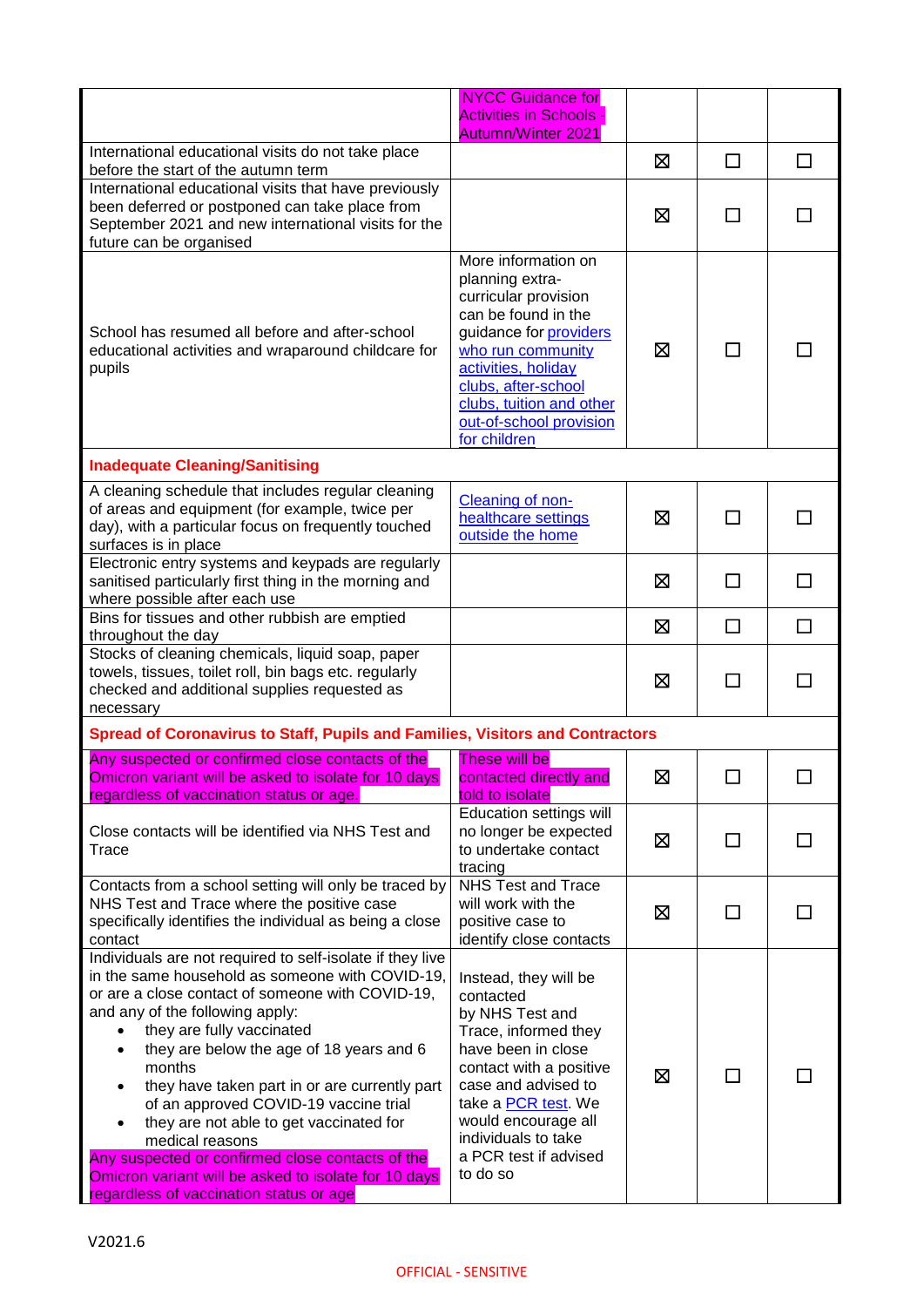|                                                                                                                                                                                                                                                                                                                                                                                                                                                                                                                                                                                                            | <b>NYCC Guidance for</b><br><b>Activities in Schools</b><br><b>Autumn/Winter 2021</b>                                                                                                                                                                            |   |              |   |
|------------------------------------------------------------------------------------------------------------------------------------------------------------------------------------------------------------------------------------------------------------------------------------------------------------------------------------------------------------------------------------------------------------------------------------------------------------------------------------------------------------------------------------------------------------------------------------------------------------|------------------------------------------------------------------------------------------------------------------------------------------------------------------------------------------------------------------------------------------------------------------|---|--------------|---|
| International educational visits do not take place<br>before the start of the autumn term                                                                                                                                                                                                                                                                                                                                                                                                                                                                                                                  |                                                                                                                                                                                                                                                                  | ⊠ | $\Box$       | □ |
| International educational visits that have previously<br>been deferred or postponed can take place from<br>September 2021 and new international visits for the<br>future can be organised                                                                                                                                                                                                                                                                                                                                                                                                                  |                                                                                                                                                                                                                                                                  | 区 | $\mathbf{L}$ |   |
| School has resumed all before and after-school<br>educational activities and wraparound childcare for<br>pupils                                                                                                                                                                                                                                                                                                                                                                                                                                                                                            | More information on<br>planning extra-<br>curricular provision<br>can be found in the<br>guidance for <b>providers</b><br>who run community<br>activities, holiday<br>clubs, after-school<br>clubs, tuition and other<br>out-of-school provision<br>for children | ⊠ | П            |   |
| <b>Inadequate Cleaning/Sanitising</b>                                                                                                                                                                                                                                                                                                                                                                                                                                                                                                                                                                      |                                                                                                                                                                                                                                                                  |   |              |   |
| A cleaning schedule that includes regular cleaning<br>of areas and equipment (for example, twice per<br>day), with a particular focus on frequently touched<br>surfaces is in place                                                                                                                                                                                                                                                                                                                                                                                                                        | Cleaning of non-<br>healthcare settings<br>outside the home                                                                                                                                                                                                      | ⊠ | П            |   |
| Electronic entry systems and keypads are regularly<br>sanitised particularly first thing in the morning and<br>where possible after each use                                                                                                                                                                                                                                                                                                                                                                                                                                                               |                                                                                                                                                                                                                                                                  | ⊠ | □            | П |
| Bins for tissues and other rubbish are emptied<br>throughout the day                                                                                                                                                                                                                                                                                                                                                                                                                                                                                                                                       |                                                                                                                                                                                                                                                                  | ⊠ | $\Box$       | П |
| Stocks of cleaning chemicals, liquid soap, paper<br>towels, tissues, toilet roll, bin bags etc. regularly<br>checked and additional supplies requested as<br>necessary                                                                                                                                                                                                                                                                                                                                                                                                                                     |                                                                                                                                                                                                                                                                  | ⊠ | $\Box$       |   |
| Spread of Coronavirus to Staff, Pupils and Families, Visitors and Contractors                                                                                                                                                                                                                                                                                                                                                                                                                                                                                                                              |                                                                                                                                                                                                                                                                  |   |              |   |
| Any suspected or confirmed close contacts of the<br>Omicron variant will be asked to isolate for 10 days<br>regardless of vaccination status or age.                                                                                                                                                                                                                                                                                                                                                                                                                                                       | <b>These will be</b><br>contacted directly and<br>told to isolate                                                                                                                                                                                                | ⊠ |              |   |
| Close contacts will be identified via NHS Test and<br>Trace                                                                                                                                                                                                                                                                                                                                                                                                                                                                                                                                                | <b>Education settings will</b><br>no longer be expected<br>to undertake contact<br>tracing                                                                                                                                                                       | 区 | П            |   |
| Contacts from a school setting will only be traced by<br>NHS Test and Trace where the positive case<br>specifically identifies the individual as being a close<br>contact                                                                                                                                                                                                                                                                                                                                                                                                                                  | NHS Test and Trace<br>will work with the<br>positive case to<br>identify close contacts                                                                                                                                                                          | ⊠ | П            |   |
| Individuals are not required to self-isolate if they live<br>in the same household as someone with COVID-19,<br>or are a close contact of someone with COVID-19,<br>and any of the following apply:<br>they are fully vaccinated<br>they are below the age of 18 years and 6<br>٠<br>months<br>they have taken part in or are currently part<br>of an approved COVID-19 vaccine trial<br>they are not able to get vaccinated for<br>medical reasons<br>Any suspected or confirmed close contacts of the<br>Omicron variant will be asked to isolate for 10 days<br>regardless of vaccination status or age | Instead, they will be<br>contacted<br>by NHS Test and<br>Trace, informed they<br>have been in close<br>contact with a positive<br>case and advised to<br>take a PCR test. We<br>would encourage all<br>individuals to take<br>a PCR test if advised<br>to do so  | ⊠ | □            |   |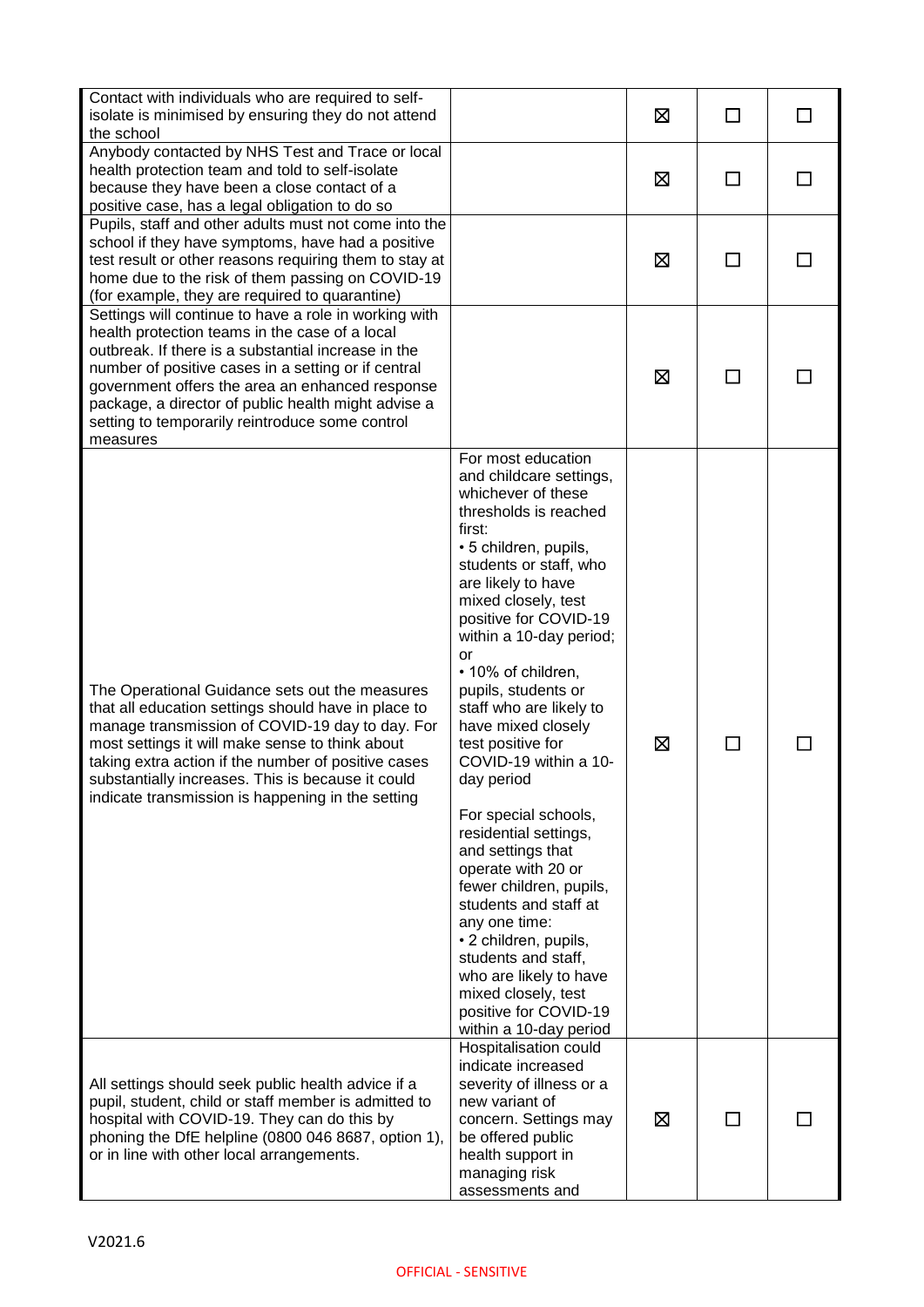| Contact with individuals who are required to self-<br>isolate is minimised by ensuring they do not attend<br>the school                                                                                                                                                                                                                                                                        |                                                                                                                                                                                                                                                                                                                                                                                                                                                                                                                                                                                                                                                                                                                                                 | ⊠ | ΙI            | ΙI |
|------------------------------------------------------------------------------------------------------------------------------------------------------------------------------------------------------------------------------------------------------------------------------------------------------------------------------------------------------------------------------------------------|-------------------------------------------------------------------------------------------------------------------------------------------------------------------------------------------------------------------------------------------------------------------------------------------------------------------------------------------------------------------------------------------------------------------------------------------------------------------------------------------------------------------------------------------------------------------------------------------------------------------------------------------------------------------------------------------------------------------------------------------------|---|---------------|----|
| Anybody contacted by NHS Test and Trace or local<br>health protection team and told to self-isolate<br>because they have been a close contact of a<br>positive case, has a legal obligation to do so                                                                                                                                                                                           |                                                                                                                                                                                                                                                                                                                                                                                                                                                                                                                                                                                                                                                                                                                                                 | ⊠ | $\Box$        |    |
| Pupils, staff and other adults must not come into the<br>school if they have symptoms, have had a positive<br>test result or other reasons requiring them to stay at<br>home due to the risk of them passing on COVID-19<br>(for example, they are required to quarantine)                                                                                                                     |                                                                                                                                                                                                                                                                                                                                                                                                                                                                                                                                                                                                                                                                                                                                                 | ⊠ | $\mathcal{L}$ |    |
| Settings will continue to have a role in working with<br>health protection teams in the case of a local<br>outbreak. If there is a substantial increase in the<br>number of positive cases in a setting or if central<br>government offers the area an enhanced response<br>package, a director of public health might advise a<br>setting to temporarily reintroduce some control<br>measures |                                                                                                                                                                                                                                                                                                                                                                                                                                                                                                                                                                                                                                                                                                                                                 | ⊠ | $\mathsf{L}$  |    |
| The Operational Guidance sets out the measures<br>that all education settings should have in place to<br>manage transmission of COVID-19 day to day. For<br>most settings it will make sense to think about<br>taking extra action if the number of positive cases<br>substantially increases. This is because it could<br>indicate transmission is happening in the setting                   | For most education<br>and childcare settings,<br>whichever of these<br>thresholds is reached<br>first:<br>• 5 children, pupils,<br>students or staff, who<br>are likely to have<br>mixed closely, test<br>positive for COVID-19<br>within a 10-day period;<br>or<br>• 10% of children,<br>pupils, students or<br>staff who are likely to<br>have mixed closely<br>test positive for<br>COVID-19 within a 10-<br>day period<br>For special schools,<br>residential settings,<br>and settings that<br>operate with 20 or<br>fewer children, pupils,<br>students and staff at<br>any one time:<br>• 2 children, pupils,<br>students and staff,<br>who are likely to have<br>mixed closely, test<br>positive for COVID-19<br>within a 10-day period | ⊠ | $\mathsf{L}$  |    |
| All settings should seek public health advice if a<br>pupil, student, child or staff member is admitted to<br>hospital with COVID-19. They can do this by<br>phoning the DfE helpline (0800 046 8687, option 1),<br>or in line with other local arrangements.                                                                                                                                  | Hospitalisation could<br>indicate increased<br>severity of illness or a<br>new variant of<br>concern. Settings may<br>be offered public<br>health support in<br>managing risk<br>assessments and                                                                                                                                                                                                                                                                                                                                                                                                                                                                                                                                                | ⊠ |               |    |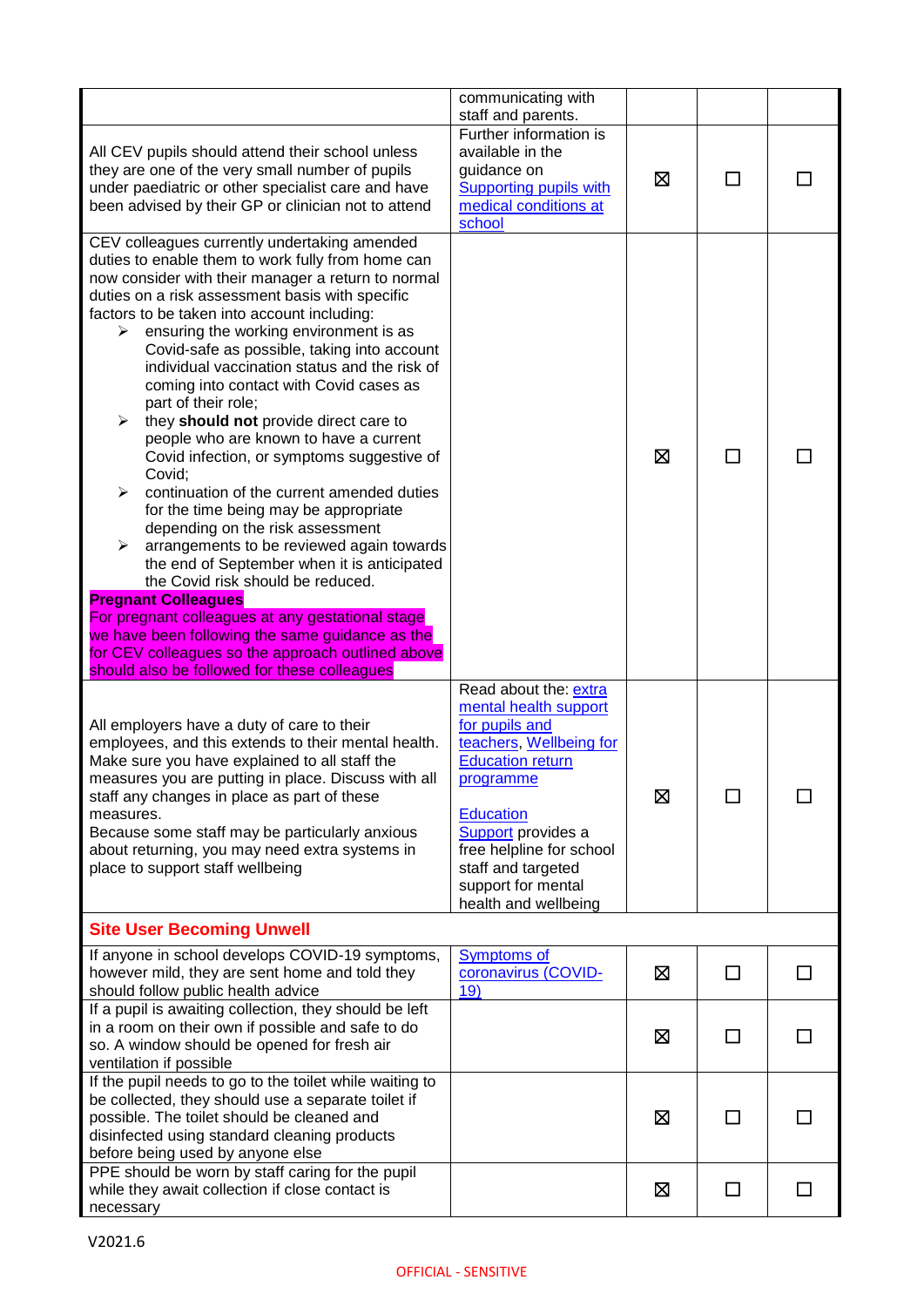|                                                                                                                                                                                                                                                                                                                                                                                                                                                                                                                                                                                                                                                                                                                                                                                                                                                                                                                                                                                                                                                                                                                                        | communicating with<br>staff and parents.                                                                                                                                                                                                                                             |   |              |    |
|----------------------------------------------------------------------------------------------------------------------------------------------------------------------------------------------------------------------------------------------------------------------------------------------------------------------------------------------------------------------------------------------------------------------------------------------------------------------------------------------------------------------------------------------------------------------------------------------------------------------------------------------------------------------------------------------------------------------------------------------------------------------------------------------------------------------------------------------------------------------------------------------------------------------------------------------------------------------------------------------------------------------------------------------------------------------------------------------------------------------------------------|--------------------------------------------------------------------------------------------------------------------------------------------------------------------------------------------------------------------------------------------------------------------------------------|---|--------------|----|
| All CEV pupils should attend their school unless<br>they are one of the very small number of pupils<br>under paediatric or other specialist care and have<br>been advised by their GP or clinician not to attend                                                                                                                                                                                                                                                                                                                                                                                                                                                                                                                                                                                                                                                                                                                                                                                                                                                                                                                       | Further information is<br>available in the<br>guidance on<br><b>Supporting pupils with</b><br>medical conditions at<br>school                                                                                                                                                        | ⊠ | $\mathsf{L}$ |    |
| CEV colleagues currently undertaking amended<br>duties to enable them to work fully from home can<br>now consider with their manager a return to normal<br>duties on a risk assessment basis with specific<br>factors to be taken into account including:<br>ensuring the working environment is as<br>➤<br>Covid-safe as possible, taking into account<br>individual vaccination status and the risk of<br>coming into contact with Covid cases as<br>part of their role;<br>they should not provide direct care to<br>➤<br>people who are known to have a current<br>Covid infection, or symptoms suggestive of<br>Covid;<br>continuation of the current amended duties<br>for the time being may be appropriate<br>depending on the risk assessment<br>arrangements to be reviewed again towards<br>≻<br>the end of September when it is anticipated<br>the Covid risk should be reduced.<br><b>Pregnant Colleagues</b><br>For pregnant colleagues at any gestational stage<br>we have been following the same guidance as the<br>for CEV colleagues so the approach outlined above<br>should also be followed for these colleagues |                                                                                                                                                                                                                                                                                      | ⊠ |              |    |
| All employers have a duty of care to their<br>employees, and this extends to their mental health.<br>Make sure you have explained to all staff the<br>measures you are putting in place. Discuss with all<br>staff any changes in place as part of these<br>measures.<br>Because some staff may be particularly anxious<br>about returning, you may need extra systems in<br>place to support staff wellbeing                                                                                                                                                                                                                                                                                                                                                                                                                                                                                                                                                                                                                                                                                                                          | Read about the: extra<br>mental health support<br>for pupils and<br>teachers, Wellbeing for<br><b>Education return</b><br>programme<br><b>Education</b><br><b>Support</b> provides a<br>free helpline for school<br>staff and targeted<br>support for mental<br>health and wellbeing | 区 |              |    |
| <b>Site User Becoming Unwell</b>                                                                                                                                                                                                                                                                                                                                                                                                                                                                                                                                                                                                                                                                                                                                                                                                                                                                                                                                                                                                                                                                                                       |                                                                                                                                                                                                                                                                                      |   |              |    |
| If anyone in school develops COVID-19 symptoms,<br>however mild, they are sent home and told they<br>should follow public health advice                                                                                                                                                                                                                                                                                                                                                                                                                                                                                                                                                                                                                                                                                                                                                                                                                                                                                                                                                                                                | <b>Symptoms of</b><br>coronavirus (COVID-<br>19)                                                                                                                                                                                                                                     | 区 | □            | ΙI |
| If a pupil is awaiting collection, they should be left<br>in a room on their own if possible and safe to do<br>so. A window should be opened for fresh air<br>ventilation if possible                                                                                                                                                                                                                                                                                                                                                                                                                                                                                                                                                                                                                                                                                                                                                                                                                                                                                                                                                  |                                                                                                                                                                                                                                                                                      | 区 | □            |    |
| If the pupil needs to go to the toilet while waiting to<br>be collected, they should use a separate toilet if<br>possible. The toilet should be cleaned and<br>disinfected using standard cleaning products<br>before being used by anyone else                                                                                                                                                                                                                                                                                                                                                                                                                                                                                                                                                                                                                                                                                                                                                                                                                                                                                        |                                                                                                                                                                                                                                                                                      | 区 |              |    |
| PPE should be worn by staff caring for the pupil<br>while they await collection if close contact is<br>necessary                                                                                                                                                                                                                                                                                                                                                                                                                                                                                                                                                                                                                                                                                                                                                                                                                                                                                                                                                                                                                       |                                                                                                                                                                                                                                                                                      | 区 | П            |    |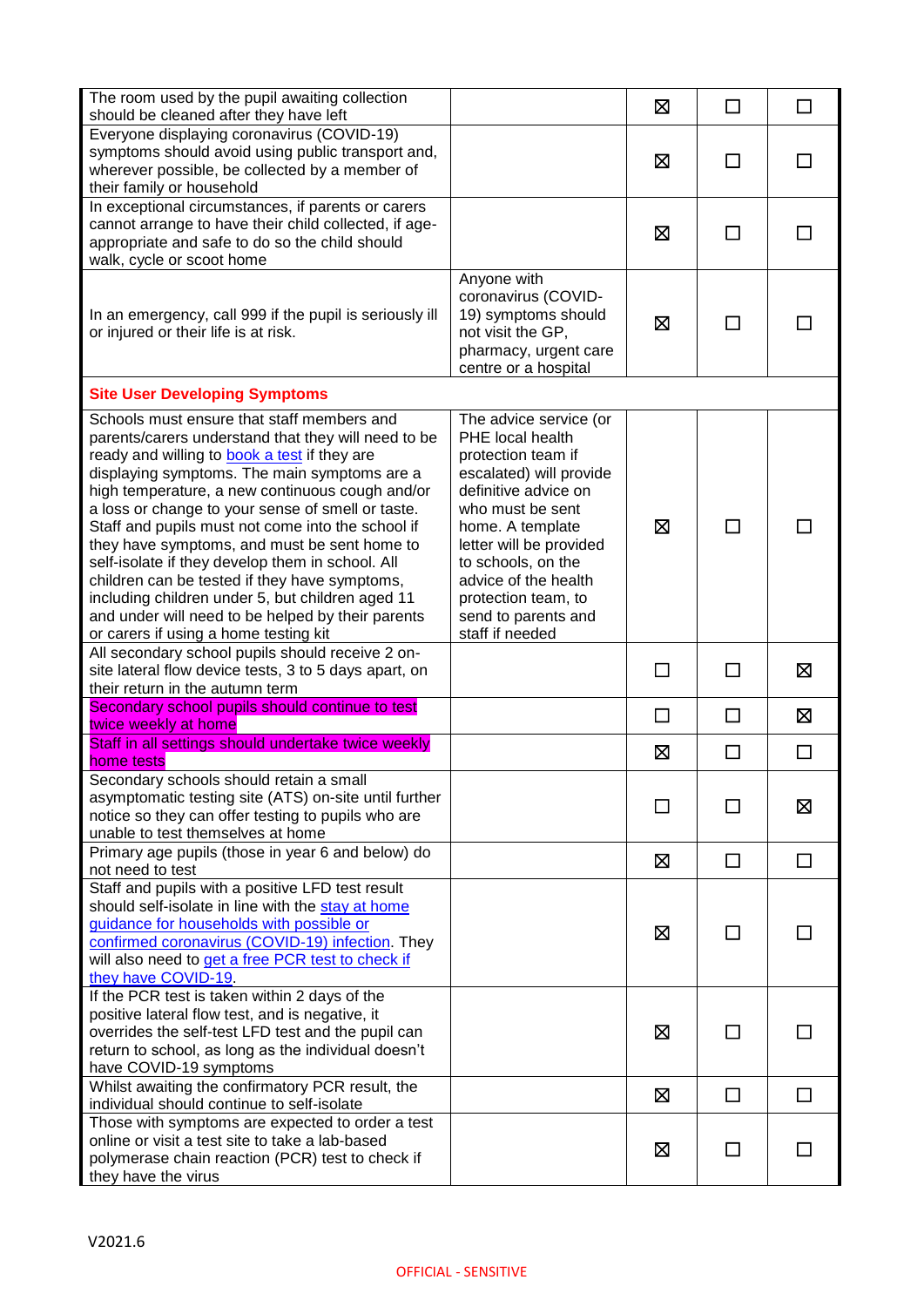| The room used by the pupil awaiting collection<br>should be cleaned after they have left                                                                                                                                                                                                                                                                                                                                                                                                                                                                                                                                                                              |                                                                                                                                                                                                                                                                                                       | ⊠      | □                        | □            |
|-----------------------------------------------------------------------------------------------------------------------------------------------------------------------------------------------------------------------------------------------------------------------------------------------------------------------------------------------------------------------------------------------------------------------------------------------------------------------------------------------------------------------------------------------------------------------------------------------------------------------------------------------------------------------|-------------------------------------------------------------------------------------------------------------------------------------------------------------------------------------------------------------------------------------------------------------------------------------------------------|--------|--------------------------|--------------|
| Everyone displaying coronavirus (COVID-19)<br>symptoms should avoid using public transport and,<br>wherever possible, be collected by a member of<br>their family or household                                                                                                                                                                                                                                                                                                                                                                                                                                                                                        |                                                                                                                                                                                                                                                                                                       | ⊠      | ΙI                       |              |
| In exceptional circumstances, if parents or carers<br>cannot arrange to have their child collected, if age-<br>appropriate and safe to do so the child should<br>walk, cycle or scoot home                                                                                                                                                                                                                                                                                                                                                                                                                                                                            |                                                                                                                                                                                                                                                                                                       | ⊠      | $\Box$                   |              |
| In an emergency, call 999 if the pupil is seriously ill<br>or injured or their life is at risk.                                                                                                                                                                                                                                                                                                                                                                                                                                                                                                                                                                       | Anyone with<br>coronavirus (COVID-<br>19) symptoms should<br>not visit the GP,<br>pharmacy, urgent care<br>centre or a hospital                                                                                                                                                                       | ⊠      | П                        |              |
| <b>Site User Developing Symptoms</b>                                                                                                                                                                                                                                                                                                                                                                                                                                                                                                                                                                                                                                  |                                                                                                                                                                                                                                                                                                       |        |                          |              |
| Schools must ensure that staff members and<br>parents/carers understand that they will need to be<br>ready and willing to book a test if they are<br>displaying symptoms. The main symptoms are a<br>high temperature, a new continuous cough and/or<br>a loss or change to your sense of smell or taste.<br>Staff and pupils must not come into the school if<br>they have symptoms, and must be sent home to<br>self-isolate if they develop them in school. All<br>children can be tested if they have symptoms,<br>including children under 5, but children aged 11<br>and under will need to be helped by their parents<br>or carers if using a home testing kit | The advice service (or<br>PHE local health<br>protection team if<br>escalated) will provide<br>definitive advice on<br>who must be sent<br>home. A template<br>letter will be provided<br>to schools, on the<br>advice of the health<br>protection team, to<br>send to parents and<br>staff if needed | ⊠      | ΙI                       |              |
| All secondary school pupils should receive 2 on-<br>site lateral flow device tests, 3 to 5 days apart, on<br>their return in the autumn term                                                                                                                                                                                                                                                                                                                                                                                                                                                                                                                          |                                                                                                                                                                                                                                                                                                       | $\Box$ | П                        | ⊠            |
| Secondary school pupils should continue to test<br>twice weekly at home                                                                                                                                                                                                                                                                                                                                                                                                                                                                                                                                                                                               |                                                                                                                                                                                                                                                                                                       | □      | □                        | 区            |
| Staff in all settings should undertake twice weekly<br>home tests                                                                                                                                                                                                                                                                                                                                                                                                                                                                                                                                                                                                     |                                                                                                                                                                                                                                                                                                       | ⊠      | $\Box$                   | $\Box$       |
| Secondary schools should retain a small<br>asymptomatic testing site (ATS) on-site until further<br>notice so they can offer testing to pupils who are<br>unable to test themselves at home                                                                                                                                                                                                                                                                                                                                                                                                                                                                           |                                                                                                                                                                                                                                                                                                       |        |                          | 区            |
| Primary age pupils (those in year 6 and below) do<br>not need to test                                                                                                                                                                                                                                                                                                                                                                                                                                                                                                                                                                                                 |                                                                                                                                                                                                                                                                                                       | ⊠      | $\Box$                   | $\Box$       |
| Staff and pupils with a positive LFD test result<br>should self-isolate in line with the stay at home<br>guidance for households with possible or<br>confirmed coronavirus (COVID-19) infection. They<br>will also need to get a free PCR test to check if<br>they have COVID-19                                                                                                                                                                                                                                                                                                                                                                                      |                                                                                                                                                                                                                                                                                                       | ⊠      | $\overline{\phantom{a}}$ |              |
| If the PCR test is taken within 2 days of the<br>positive lateral flow test, and is negative, it<br>overrides the self-test LFD test and the pupil can<br>return to school, as long as the individual doesn't<br>have COVID-19 symptoms                                                                                                                                                                                                                                                                                                                                                                                                                               |                                                                                                                                                                                                                                                                                                       | ⊠      | ΙI                       |              |
| Whilst awaiting the confirmatory PCR result, the<br>individual should continue to self-isolate                                                                                                                                                                                                                                                                                                                                                                                                                                                                                                                                                                        |                                                                                                                                                                                                                                                                                                       | 区      | $\Box$                   | $\Box$       |
| Those with symptoms are expected to order a test<br>online or visit a test site to take a lab-based<br>polymerase chain reaction (PCR) test to check if<br>they have the virus                                                                                                                                                                                                                                                                                                                                                                                                                                                                                        |                                                                                                                                                                                                                                                                                                       | ⊠      | $\Box$                   | $\mathsf{L}$ |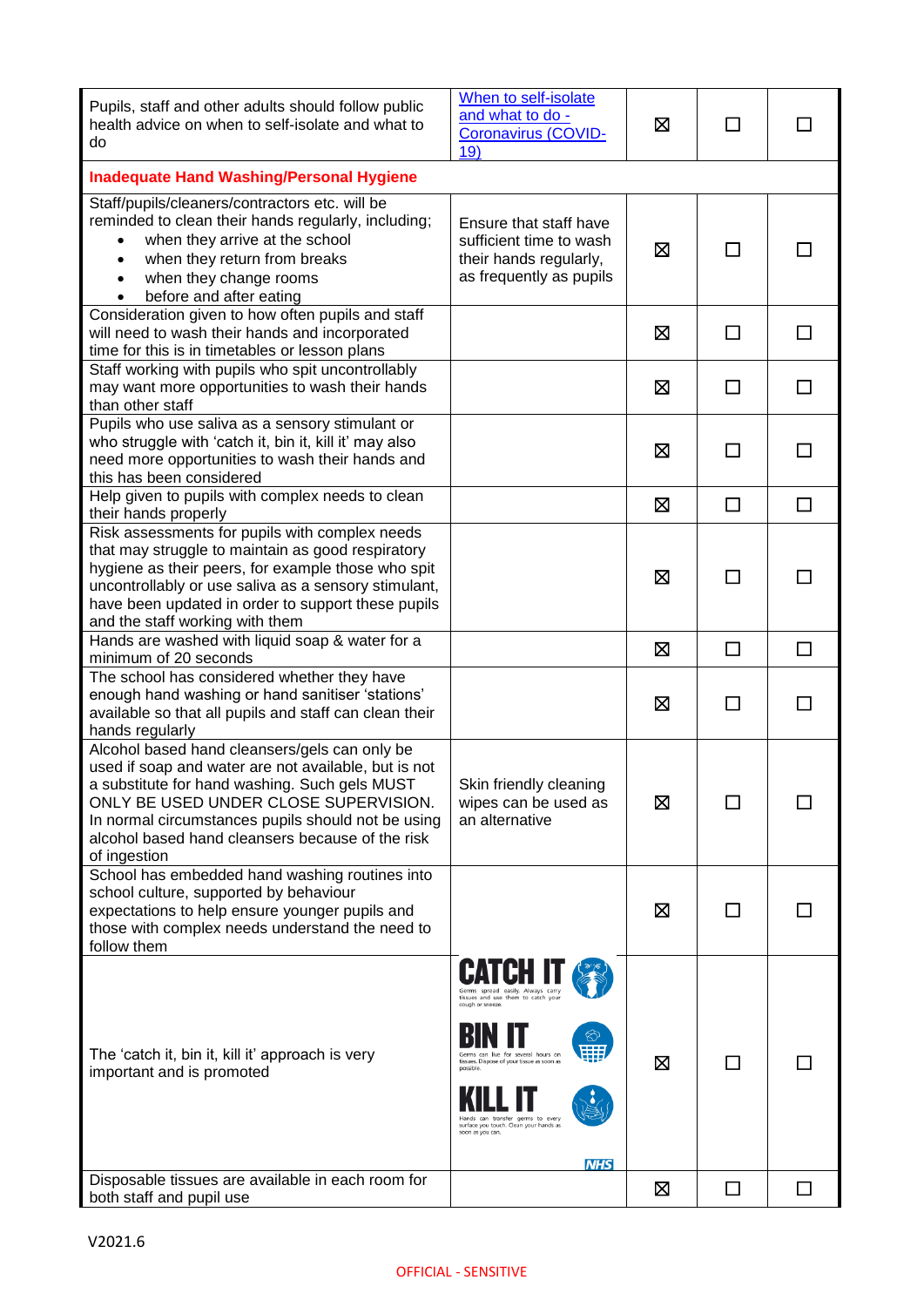| Pupils, staff and other adults should follow public<br>health advice on when to self-isolate and what to<br>do                                                                                                                                                                                                            | When to self-isolate<br>and what to do -<br>Coronavirus (COVID-<br>19)                                                                                                                                                                                                                                  | 区 |              |              |  |
|---------------------------------------------------------------------------------------------------------------------------------------------------------------------------------------------------------------------------------------------------------------------------------------------------------------------------|---------------------------------------------------------------------------------------------------------------------------------------------------------------------------------------------------------------------------------------------------------------------------------------------------------|---|--------------|--------------|--|
| <b>Inadequate Hand Washing/Personal Hygiene</b>                                                                                                                                                                                                                                                                           |                                                                                                                                                                                                                                                                                                         |   |              |              |  |
| Staff/pupils/cleaners/contractors etc. will be<br>reminded to clean their hands regularly, including;<br>when they arrive at the school<br>when they return from breaks<br>$\bullet$<br>when they change rooms<br>before and after eating                                                                                 | Ensure that staff have<br>sufficient time to wash<br>their hands regularly,<br>as frequently as pupils                                                                                                                                                                                                  | 区 |              |              |  |
| Consideration given to how often pupils and staff<br>will need to wash their hands and incorporated<br>time for this is in timetables or lesson plans                                                                                                                                                                     |                                                                                                                                                                                                                                                                                                         | ⊠ | ΙI           | ΙI           |  |
| Staff working with pupils who spit uncontrollably<br>may want more opportunities to wash their hands<br>than other staff                                                                                                                                                                                                  |                                                                                                                                                                                                                                                                                                         | ⊠ | $\mathbf{I}$ |              |  |
| Pupils who use saliva as a sensory stimulant or<br>who struggle with 'catch it, bin it, kill it' may also<br>need more opportunities to wash their hands and<br>this has been considered                                                                                                                                  |                                                                                                                                                                                                                                                                                                         | 区 |              | ΙI           |  |
| Help given to pupils with complex needs to clean<br>their hands properly                                                                                                                                                                                                                                                  |                                                                                                                                                                                                                                                                                                         | 区 | П            | П            |  |
| Risk assessments for pupils with complex needs<br>that may struggle to maintain as good respiratory<br>hygiene as their peers, for example those who spit<br>uncontrollably or use saliva as a sensory stimulant,<br>have been updated in order to support these pupils<br>and the staff working with them                |                                                                                                                                                                                                                                                                                                         | ⊠ | $\mathbf{I}$ |              |  |
| Hands are washed with liquid soap & water for a<br>minimum of 20 seconds                                                                                                                                                                                                                                                  |                                                                                                                                                                                                                                                                                                         | ⊠ | $\mathsf{L}$ | ΙI           |  |
| The school has considered whether they have<br>enough hand washing or hand sanitiser 'stations'<br>available so that all pupils and staff can clean their<br>hands regularly                                                                                                                                              |                                                                                                                                                                                                                                                                                                         | ⊠ | $\mathbf{I}$ |              |  |
| Alcohol based hand cleansers/gels can only be<br>used if soap and water are not available, but is not<br>a substitute for hand washing. Such gels MUST<br>ONLY BE USED UNDER CLOSE SUPERVISION.<br>In normal circumstances pupils should not be using<br>alcohol based hand cleansers because of the risk<br>of ingestion | Skin friendly cleaning<br>wipes can be used as<br>an alternative                                                                                                                                                                                                                                        | ⊠ |              |              |  |
| School has embedded hand washing routines into<br>school culture, supported by behaviour<br>expectations to help ensure younger pupils and<br>those with complex needs understand the need to<br>follow them                                                                                                              |                                                                                                                                                                                                                                                                                                         | ⊠ |              |              |  |
| The 'catch it, bin it, kill it' approach is very<br>important and is promoted                                                                                                                                                                                                                                             | Germs spread easily. Always carry<br>tissues and use them to catch your<br>cough or sneeze.<br>Germs can live for several hours on<br>tissues. Dispose of your tissue as soon as<br>nossible<br>can transfer germs to every<br>surface you touch. Clean your hands as<br>soon as you can.<br><b>NHS</b> | ⊠ |              |              |  |
| Disposable tissues are available in each room for<br>both staff and pupil use                                                                                                                                                                                                                                             |                                                                                                                                                                                                                                                                                                         | ⊠ | $\Box$       | $\mathsf{L}$ |  |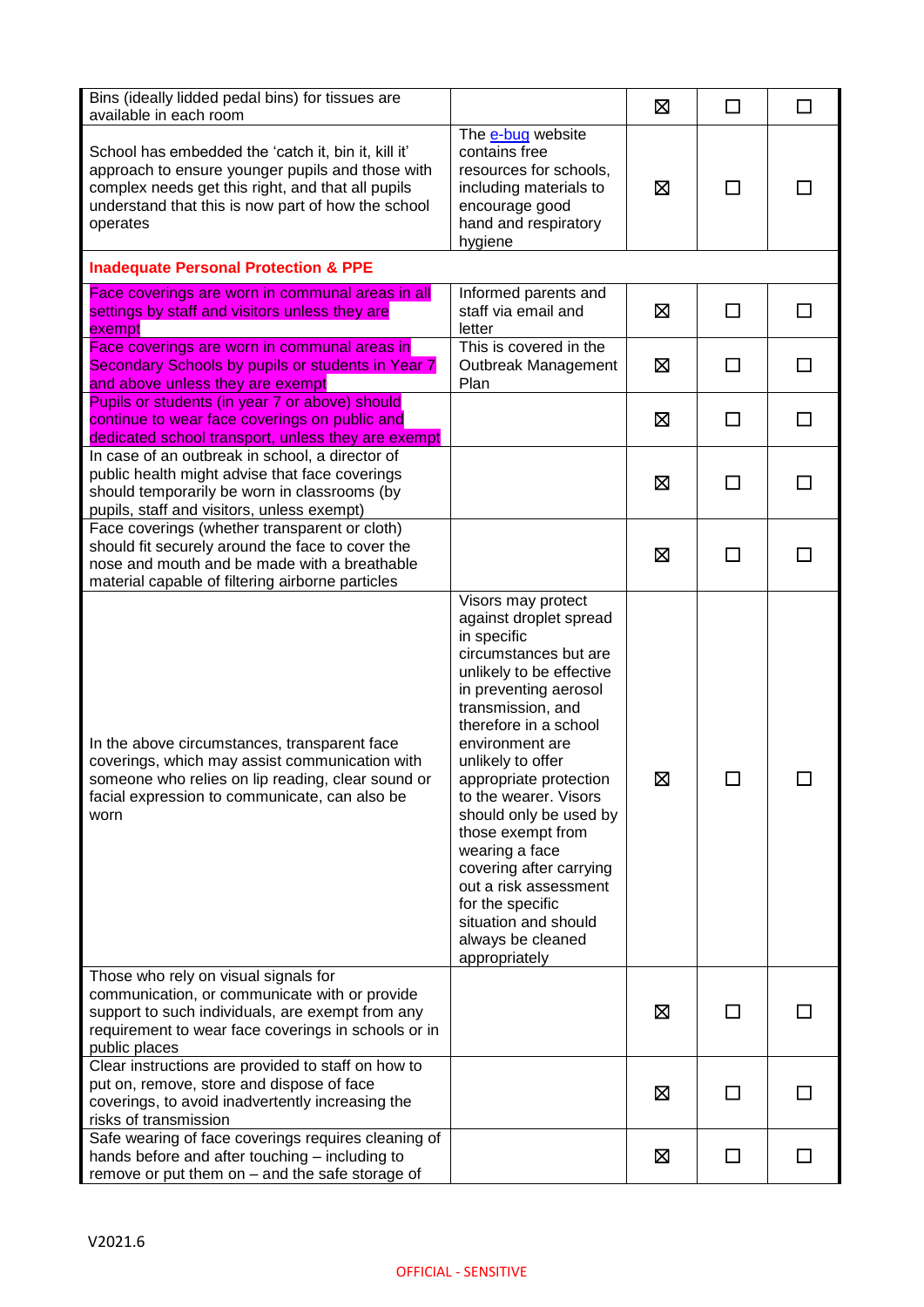| Bins (ideally lidded pedal bins) for tissues are<br>available in each room                                                                                                                                                     |                                                                                                                                                                                                                                                                                                                                                                                                                                                                                           | ⊠ | $\Box$       | $\Box$ |
|--------------------------------------------------------------------------------------------------------------------------------------------------------------------------------------------------------------------------------|-------------------------------------------------------------------------------------------------------------------------------------------------------------------------------------------------------------------------------------------------------------------------------------------------------------------------------------------------------------------------------------------------------------------------------------------------------------------------------------------|---|--------------|--------|
| School has embedded the 'catch it, bin it, kill it'<br>approach to ensure younger pupils and those with<br>complex needs get this right, and that all pupils<br>understand that this is now part of how the school<br>operates | The e-bug website<br>contains free<br>resources for schools,<br>including materials to<br>encourage good<br>hand and respiratory<br>hygiene                                                                                                                                                                                                                                                                                                                                               | ⊠ | $\mathsf{L}$ |        |
| <b>Inadequate Personal Protection &amp; PPE</b>                                                                                                                                                                                |                                                                                                                                                                                                                                                                                                                                                                                                                                                                                           |   |              |        |
| Face coverings are worn in communal areas in all<br>settings by staff and visitors unless they are<br>exempt                                                                                                                   | Informed parents and<br>staff via email and<br>letter                                                                                                                                                                                                                                                                                                                                                                                                                                     | 区 | П            | П      |
| Face coverings are worn in communal areas in<br>Secondary Schools by pupils or students in Year 7<br>and above unless they are exempt                                                                                          | This is covered in the<br>Outbreak Management<br>Plan                                                                                                                                                                                                                                                                                                                                                                                                                                     | ⊠ | П            | П      |
| Pupils or students (in year 7 or above) should<br>continue to wear face coverings on public and<br>dedicated school transport, unless they are exempt                                                                          |                                                                                                                                                                                                                                                                                                                                                                                                                                                                                           | ⊠ | $\mathsf{L}$ | П      |
| In case of an outbreak in school, a director of<br>public health might advise that face coverings<br>should temporarily be worn in classrooms (by<br>pupils, staff and visitors, unless exempt)                                |                                                                                                                                                                                                                                                                                                                                                                                                                                                                                           | 区 | $\mathsf{L}$ | П      |
| Face coverings (whether transparent or cloth)<br>should fit securely around the face to cover the<br>nose and mouth and be made with a breathable<br>material capable of filtering airborne particles                          |                                                                                                                                                                                                                                                                                                                                                                                                                                                                                           | ⊠ | $\mathbf{I}$ | ΙI     |
| In the above circumstances, transparent face<br>coverings, which may assist communication with<br>someone who relies on lip reading, clear sound or<br>facial expression to communicate, can also be<br>worn                   | Visors may protect<br>against droplet spread<br>in specific<br>circumstances but are<br>unlikely to be effective<br>in preventing aerosol<br>transmission, and<br>therefore in a school<br>environment are<br>unlikely to offer<br>appropriate protection<br>to the wearer. Visors<br>should only be used by<br>those exempt from<br>wearing a face<br>covering after carrying<br>out a risk assessment<br>for the specific<br>situation and should<br>always be cleaned<br>appropriately | 区 |              |        |
| Those who rely on visual signals for<br>communication, or communicate with or provide<br>support to such individuals, are exempt from any<br>requirement to wear face coverings in schools or in<br>public places              |                                                                                                                                                                                                                                                                                                                                                                                                                                                                                           | ⊠ |              |        |
| Clear instructions are provided to staff on how to<br>put on, remove, store and dispose of face<br>coverings, to avoid inadvertently increasing the<br>risks of transmission                                                   |                                                                                                                                                                                                                                                                                                                                                                                                                                                                                           | ⊠ | П            |        |
| Safe wearing of face coverings requires cleaning of<br>hands before and after touching - including to<br>remove or put them on - and the safe storage of                                                                       |                                                                                                                                                                                                                                                                                                                                                                                                                                                                                           | ⊠ | ΙI           |        |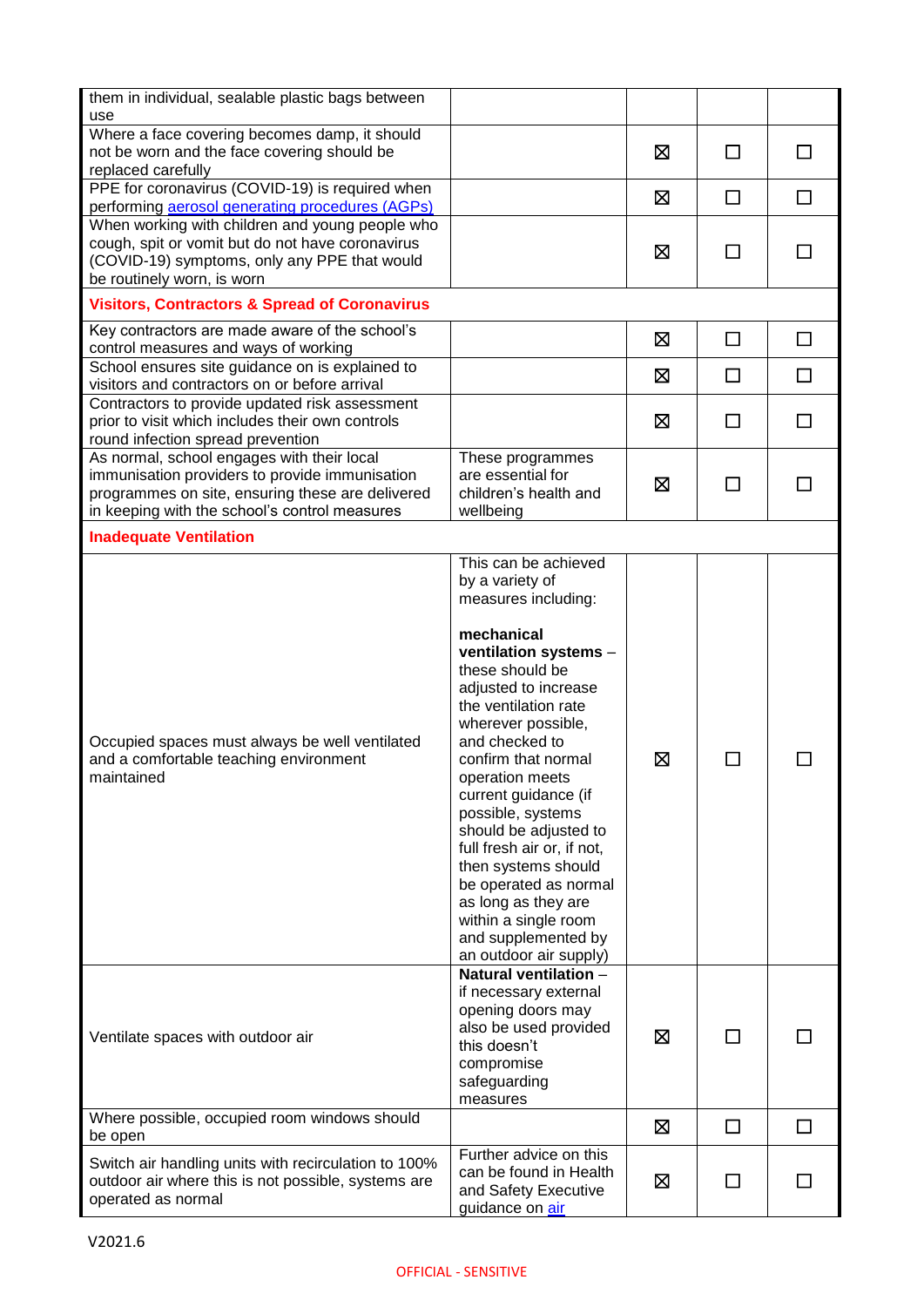| them in individual, sealable plastic bags between<br>use                                                                                                                                          |                                                                                                                                                                                                                                                                                                                                                                                                                                                                                                                |   |              |              |
|---------------------------------------------------------------------------------------------------------------------------------------------------------------------------------------------------|----------------------------------------------------------------------------------------------------------------------------------------------------------------------------------------------------------------------------------------------------------------------------------------------------------------------------------------------------------------------------------------------------------------------------------------------------------------------------------------------------------------|---|--------------|--------------|
| Where a face covering becomes damp, it should<br>not be worn and the face covering should be<br>replaced carefully                                                                                |                                                                                                                                                                                                                                                                                                                                                                                                                                                                                                                | ⊠ | П            | П            |
| PPE for coronavirus (COVID-19) is required when<br>performing <b>aerosol</b> generating procedures (AGPs)                                                                                         |                                                                                                                                                                                                                                                                                                                                                                                                                                                                                                                | ⊠ | $\Box$       | $\Box$       |
| When working with children and young people who<br>cough, spit or vomit but do not have coronavirus<br>(COVID-19) symptoms, only any PPE that would<br>be routinely worn, is worn                 |                                                                                                                                                                                                                                                                                                                                                                                                                                                                                                                | ⊠ | П            |              |
| <b>Visitors, Contractors &amp; Spread of Coronavirus</b>                                                                                                                                          |                                                                                                                                                                                                                                                                                                                                                                                                                                                                                                                |   |              |              |
| Key contractors are made aware of the school's<br>control measures and ways of working                                                                                                            |                                                                                                                                                                                                                                                                                                                                                                                                                                                                                                                | ⊠ | □            | $\Box$       |
| School ensures site guidance on is explained to<br>visitors and contractors on or before arrival                                                                                                  |                                                                                                                                                                                                                                                                                                                                                                                                                                                                                                                | ⊠ | П            | П            |
| Contractors to provide updated risk assessment<br>prior to visit which includes their own controls<br>round infection spread prevention                                                           |                                                                                                                                                                                                                                                                                                                                                                                                                                                                                                                | ⊠ | П            | П            |
| As normal, school engages with their local<br>immunisation providers to provide immunisation<br>programmes on site, ensuring these are delivered<br>in keeping with the school's control measures | These programmes<br>are essential for<br>children's health and<br>wellbeing                                                                                                                                                                                                                                                                                                                                                                                                                                    | ⊠ | $\Box$       | ΙI           |
| <b>Inadequate Ventilation</b>                                                                                                                                                                     |                                                                                                                                                                                                                                                                                                                                                                                                                                                                                                                |   |              |              |
| Occupied spaces must always be well ventilated<br>and a comfortable teaching environment<br>maintained                                                                                            | This can be achieved<br>by a variety of<br>measures including:<br>mechanical<br>ventilation systems -<br>these should be<br>adjusted to increase<br>the ventilation rate<br>wherever possible,<br>and checked to<br>confirm that normal<br>operation meets<br>current guidance (if<br>possible, systems<br>should be adjusted to<br>full fresh air or, if not,<br>then systems should<br>be operated as normal<br>as long as they are<br>within a single room<br>and supplemented by<br>an outdoor air supply) | 龱 |              |              |
| Ventilate spaces with outdoor air                                                                                                                                                                 | Natural ventilation -<br>if necessary external<br>opening doors may<br>also be used provided<br>this doesn't<br>compromise<br>safeguarding<br>measures                                                                                                                                                                                                                                                                                                                                                         | ⊠ |              |              |
| Where possible, occupied room windows should<br>be open                                                                                                                                           |                                                                                                                                                                                                                                                                                                                                                                                                                                                                                                                | ⊠ | $\Box$       | $\mathsf{L}$ |
| Switch air handling units with recirculation to 100%<br>outdoor air where this is not possible, systems are<br>operated as normal                                                                 | Further advice on this<br>can be found in Health<br>and Safety Executive<br>guidance on air                                                                                                                                                                                                                                                                                                                                                                                                                    | ⊠ | $\mathsf{L}$ |              |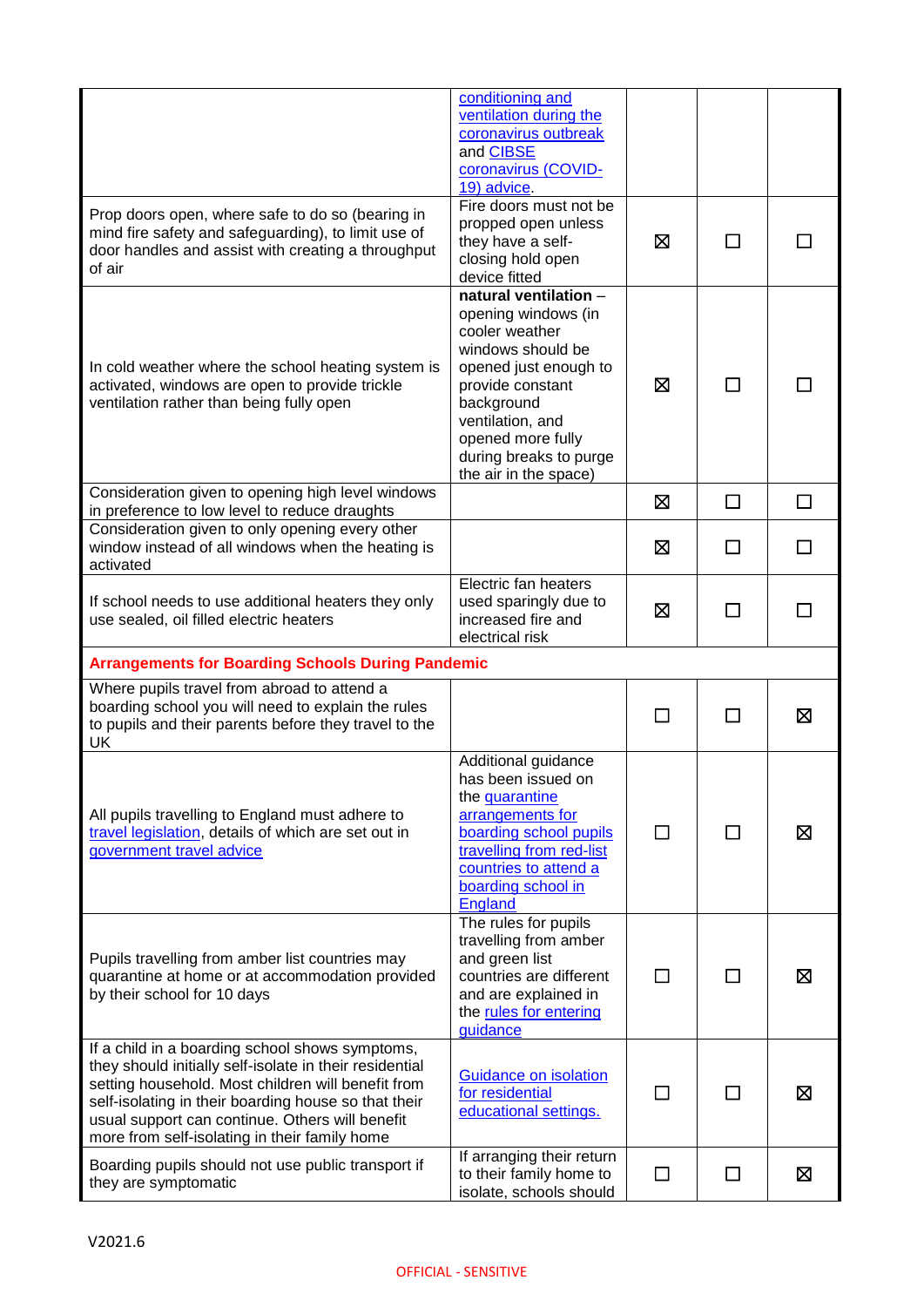|                                                                                                                                                                                                                                                                                                                              | conditioning and<br>ventilation during the<br>coronavirus outbreak<br>and <b>CIBSE</b><br>coronavirus (COVID-<br>19) advice.                                                                                                               |         |                |   |
|------------------------------------------------------------------------------------------------------------------------------------------------------------------------------------------------------------------------------------------------------------------------------------------------------------------------------|--------------------------------------------------------------------------------------------------------------------------------------------------------------------------------------------------------------------------------------------|---------|----------------|---|
| Prop doors open, where safe to do so (bearing in<br>mind fire safety and safeguarding), to limit use of<br>door handles and assist with creating a throughput<br>of air                                                                                                                                                      | Fire doors must not be<br>propped open unless<br>they have a self-<br>closing hold open<br>device fitted                                                                                                                                   | ⊠       |                |   |
| In cold weather where the school heating system is<br>activated, windows are open to provide trickle<br>ventilation rather than being fully open                                                                                                                                                                             | natural ventilation -<br>opening windows (in<br>cooler weather<br>windows should be<br>opened just enough to<br>provide constant<br>background<br>ventilation, and<br>opened more fully<br>during breaks to purge<br>the air in the space) | ⊠       |                |   |
| Consideration given to opening high level windows<br>in preference to low level to reduce draughts                                                                                                                                                                                                                           |                                                                                                                                                                                                                                            | ⊠       | П              | П |
| Consideration given to only opening every other<br>window instead of all windows when the heating is<br>activated                                                                                                                                                                                                            |                                                                                                                                                                                                                                            | ⊠       |                |   |
| If school needs to use additional heaters they only<br>use sealed, oil filled electric heaters                                                                                                                                                                                                                               | Electric fan heaters<br>used sparingly due to<br>increased fire and<br>electrical risk                                                                                                                                                     | ⊠       |                |   |
|                                                                                                                                                                                                                                                                                                                              |                                                                                                                                                                                                                                            |         |                |   |
| <b>Arrangements for Boarding Schools During Pandemic</b>                                                                                                                                                                                                                                                                     |                                                                                                                                                                                                                                            |         |                |   |
| Where pupils travel from abroad to attend a<br>boarding school you will need to explain the rules<br>to pupils and their parents before they travel to the<br><b>UK</b>                                                                                                                                                      |                                                                                                                                                                                                                                            | $\perp$ | $\mathsf{L}$   | ⊠ |
| All pupils travelling to England must adhere to<br>travel legislation, details of which are set out in<br>government travel advice                                                                                                                                                                                           | Additional guidance<br>has been issued on<br>the quarantine<br>arrangements for<br>boarding school pupils<br>travelling from red-list<br>countries to attend a<br>boarding school in<br><b>England</b>                                     | $\perp$ | $\blacksquare$ | ⊠ |
| Pupils travelling from amber list countries may<br>quarantine at home or at accommodation provided<br>by their school for 10 days                                                                                                                                                                                            | The rules for pupils<br>travelling from amber<br>and green list<br>countries are different<br>and are explained in<br>the rules for entering<br>guidance                                                                                   | П       | П              | ⊠ |
| If a child in a boarding school shows symptoms,<br>they should initially self-isolate in their residential<br>setting household. Most children will benefit from<br>self-isolating in their boarding house so that their<br>usual support can continue. Others will benefit<br>more from self-isolating in their family home | Guidance on isolation<br>for residential<br>educational settings.<br>If arranging their return                                                                                                                                             | ΙI      | $\mathbf{I}$   | ⊠ |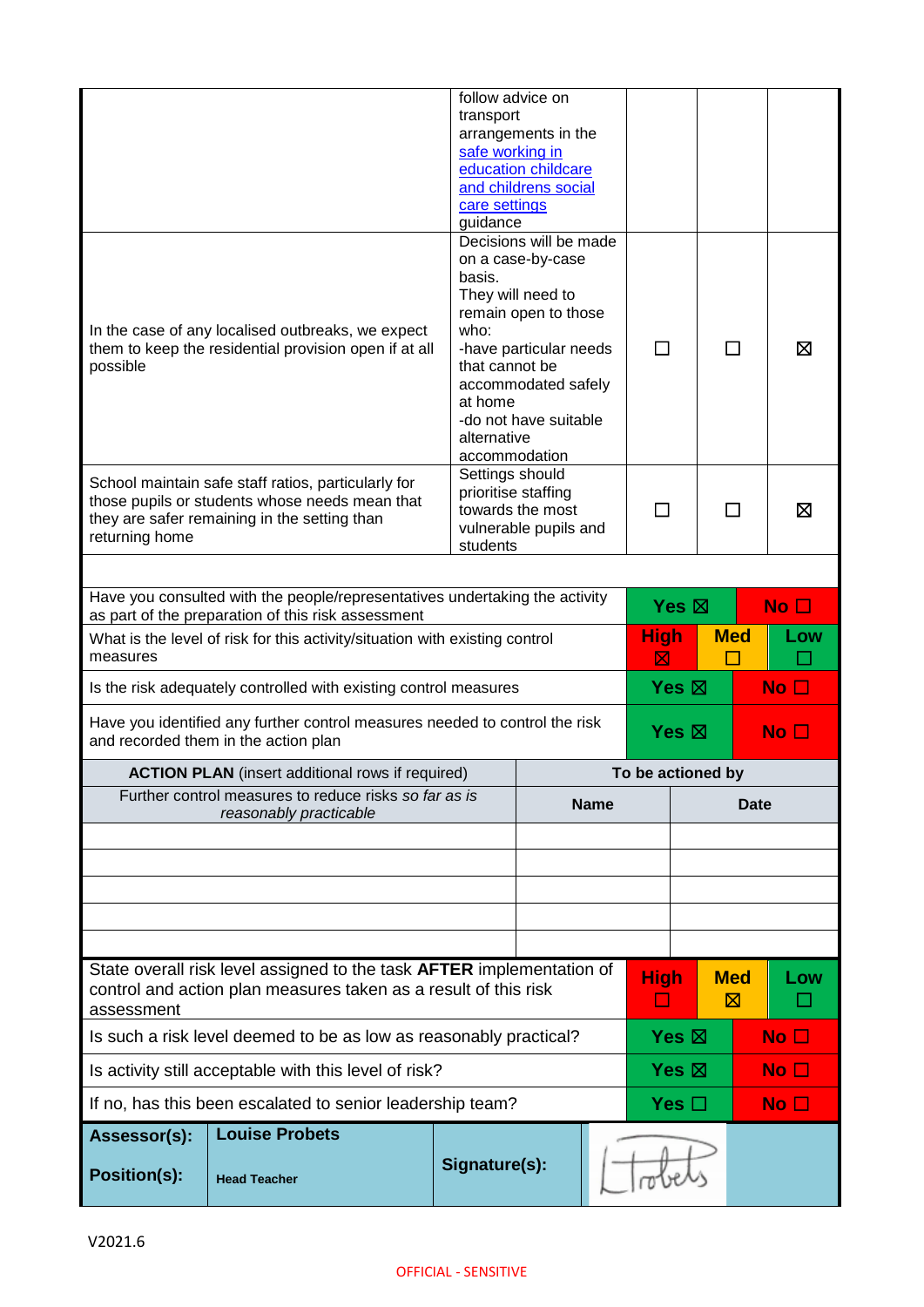|                                                                                                                                   |                                                                                 | follow advice on          |                                           |             |                   |            |                 |
|-----------------------------------------------------------------------------------------------------------------------------------|---------------------------------------------------------------------------------|---------------------------|-------------------------------------------|-------------|-------------------|------------|-----------------|
|                                                                                                                                   |                                                                                 | transport                 | arrangements in the                       |             |                   |            |                 |
|                                                                                                                                   |                                                                                 | safe working in           |                                           |             |                   |            |                 |
|                                                                                                                                   |                                                                                 |                           | education childcare                       |             |                   |            |                 |
|                                                                                                                                   |                                                                                 |                           | and childrens social                      |             |                   |            |                 |
|                                                                                                                                   |                                                                                 | care settings<br>guidance |                                           |             |                   |            |                 |
|                                                                                                                                   |                                                                                 |                           | Decisions will be made                    |             |                   |            |                 |
|                                                                                                                                   |                                                                                 |                           | on a case-by-case                         |             |                   |            |                 |
|                                                                                                                                   |                                                                                 | basis.                    |                                           |             |                   |            |                 |
|                                                                                                                                   |                                                                                 |                           | They will need to<br>remain open to those |             |                   |            |                 |
|                                                                                                                                   | In the case of any localised outbreaks, we expect                               | who:                      |                                           |             |                   |            |                 |
|                                                                                                                                   | them to keep the residential provision open if at all                           |                           | -have particular needs                    | П           |                   | ΙI         | ⊠               |
| possible                                                                                                                          |                                                                                 | that cannot be            |                                           |             |                   |            |                 |
|                                                                                                                                   |                                                                                 |                           | accommodated safely                       |             |                   |            |                 |
|                                                                                                                                   |                                                                                 | at home                   | -do not have suitable                     |             |                   |            |                 |
|                                                                                                                                   |                                                                                 | alternative               |                                           |             |                   |            |                 |
|                                                                                                                                   |                                                                                 | accommodation             |                                           |             |                   |            |                 |
|                                                                                                                                   | School maintain safe staff ratios, particularly for                             | Settings should           |                                           |             |                   |            |                 |
|                                                                                                                                   | those pupils or students whose needs mean that                                  | prioritise staffing       |                                           |             |                   |            |                 |
|                                                                                                                                   | they are safer remaining in the setting than                                    |                           | towards the most                          | П           |                   | П          | ⊠               |
| returning home                                                                                                                    |                                                                                 | students                  | vulnerable pupils and                     |             |                   |            |                 |
|                                                                                                                                   |                                                                                 |                           |                                           |             |                   |            |                 |
|                                                                                                                                   |                                                                                 |                           |                                           |             |                   |            |                 |
| Have you consulted with the people/representatives undertaking the activity<br>as part of the preparation of this risk assessment |                                                                                 |                           |                                           |             | Yes $\boxtimes$   |            | No <sub>1</sub> |
|                                                                                                                                   | What is the level of risk for this activity/situation with existing control     |                           |                                           | <b>High</b> |                   | <b>Med</b> | Low             |
| measures                                                                                                                          |                                                                                 |                           |                                           | $\boxtimes$ |                   |            |                 |
|                                                                                                                                   | Is the risk adequately controlled with existing control measures                |                           |                                           |             | Yes $\boxtimes$   |            | No $\Box$       |
|                                                                                                                                   | Have you identified any further control measures needed to control the risk     |                           |                                           |             | Yes $\boxtimes$   |            | No <sub>1</sub> |
|                                                                                                                                   | and recorded them in the action plan                                            |                           |                                           |             |                   |            |                 |
|                                                                                                                                   | <b>ACTION PLAN</b> (insert additional rows if required)                         |                           |                                           |             | To be actioned by |            |                 |
|                                                                                                                                   | Further control measures to reduce risks so far as is<br>reasonably practicable |                           | <b>Name</b>                               |             | Date              |            |                 |
|                                                                                                                                   |                                                                                 |                           |                                           |             |                   |            |                 |
|                                                                                                                                   |                                                                                 |                           |                                           |             |                   |            |                 |
|                                                                                                                                   |                                                                                 |                           |                                           |             |                   |            |                 |
|                                                                                                                                   |                                                                                 |                           |                                           |             |                   |            |                 |
|                                                                                                                                   |                                                                                 |                           |                                           |             |                   |            |                 |
|                                                                                                                                   | State overall risk level assigned to the task AFTER implementation of           |                           |                                           | <b>High</b> |                   | <b>Med</b> | Low             |
| assessment                                                                                                                        | control and action plan measures taken as a result of this risk                 |                           |                                           | ப           |                   | ⊠          |                 |
|                                                                                                                                   | Is such a risk level deemed to be as low as reasonably practical?               |                           |                                           |             | Yes $\boxtimes$   |            | No <sub>1</sub> |
|                                                                                                                                   | Is activity still acceptable with this level of risk?                           |                           |                                           |             | Yes $\boxtimes$   |            | No $\Box$       |
|                                                                                                                                   | If no, has this been escalated to senior leadership team?                       |                           |                                           |             | Yes $\Box$        |            | No $\square$    |
| Assessor(s):                                                                                                                      | <b>Louise Probets</b>                                                           |                           |                                           |             |                   |            |                 |
|                                                                                                                                   |                                                                                 | Signature(s):             |                                           |             |                   |            |                 |
| <b>Position(s):</b>                                                                                                               | <b>Head Teacher</b>                                                             |                           |                                           |             |                   |            |                 |